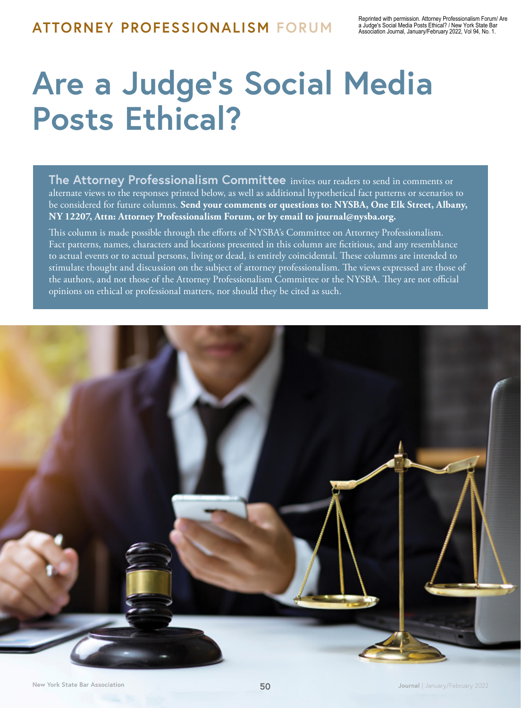# **Are a Judge's Social Media Posts Ethical?**

**The Attorney Professionalism Committee** invites our readers to send in comments or alternate views to the responses printed below, as well as additional hypothetical fact patterns or scenarios to be considered for future columns. **Send your comments or questions to: NYSBA, One Elk Street, Albany, NY 12207, Attn: Attorney Professionalism Forum, or by email to journal@nysba.org.** 

This column is made possible through the efforts of NYSBA's Committee on Attorney Professionalism. Fact patterns, names, characters and locations presented in this column are fictitious, and any resemblance to actual events or to actual persons, living or dead, is entirely coincidental. These columns are intended to stimulate thought and discussion on the subject of attorney professionalism. The views expressed are those of the authors, and not those of the Attorney Professionalism Committee or the NYSBA. They are not official opinions on ethical or professional matters, nor should they be cited as such.

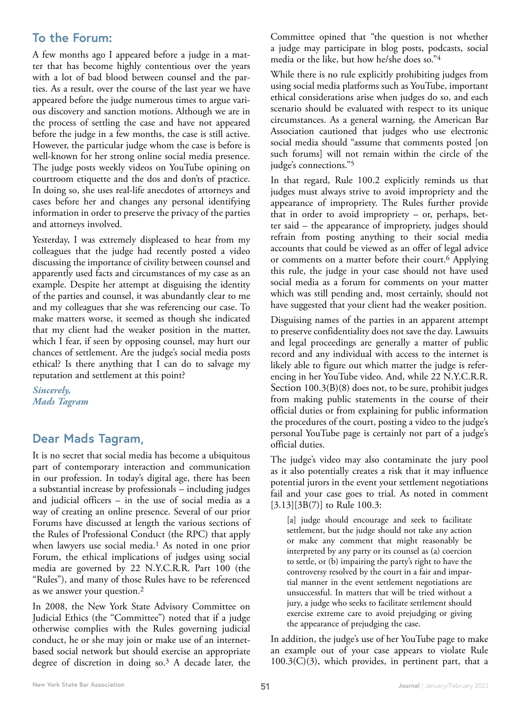## **To the Forum:**

A few months ago I appeared before a judge in a matter that has become highly contentious over the years with a lot of bad blood between counsel and the parties. As a result, over the course of the last year we have appeared before the judge numerous times to argue various discovery and sanction motions. Although we are in the process of settling the case and have not appeared before the judge in a few months, the case is still active. However, the particular judge whom the case is before is well-known for her strong online social media presence. The judge posts weekly videos on YouTube opining on courtroom etiquette and the dos and don'ts of practice. In doing so, she uses real-life anecdotes of attorneys and cases before her and changes any personal identifying information in order to preserve the privacy of the parties and attorneys involved.

Yesterday, I was extremely displeased to hear from my colleagues that the judge had recently posted a video discussing the importance of civility between counsel and apparently used facts and circumstances of my case as an example. Despite her attempt at disguising the identity of the parties and counsel, it was abundantly clear to me and my colleagues that she was referencing our case. To make matters worse, it seemed as though she indicated that my client had the weaker position in the matter, which I fear, if seen by opposing counsel, may hurt our chances of settlement. Are the judge's social media posts ethical? Is there anything that I can do to salvage my reputation and settlement at this point?

*Sincerely, Mads Tagram* 

## **Dear Mads Tagram,**

It is no secret that social media has become a ubiquitous part of contemporary interaction and communication in our profession. In today's digital age, there has been a substantial increase by professionals – including judges and judicial officers – in the use of social media as a way of creating an online presence. Several of our prior Forums have discussed at length the various sections of the Rules of Professional Conduct (the RPC) that apply when lawyers use social media.<sup>1</sup> As noted in one prior Forum, the ethical implications of judges using social media are governed by 22 N.Y.C.R.R. Part 100 (the "Rules"), and many of those Rules have to be referenced as we answer your question.2

In 2008, the New York State Advisory Committee on Judicial Ethics (the "Committee") noted that if a judge otherwise complies with the Rules governing judicial conduct, he or she may join or make use of an internetbased social network but should exercise an appropriate degree of discretion in doing so.3 A decade later, the

Committee opined that "the question is not whether a judge may participate in blog posts, podcasts, social media or the like, but how he/she does so."4

While there is no rule explicitly prohibiting judges from using social media platforms such as YouTube, important ethical considerations arise when judges do so, and each scenario should be evaluated with respect to its unique circumstances. As a general warning, the American Bar Association cautioned that judges who use electronic social media should "assume that comments posted [on such forums] will not remain within the circle of the judge's connections."5

In that regard, Rule 100.2 explicitly reminds us that judges must always strive to avoid impropriety and the appearance of impropriety. The Rules further provide that in order to avoid impropriety – or, perhaps, better said – the appearance of impropriety, judges should refrain from posting anything to their social media accounts that could be viewed as an offer of legal advice or comments on a matter before their court.<sup>6</sup> Applying this rule, the judge in your case should not have used social media as a forum for comments on your matter which was still pending and, most certainly, should not have suggested that your client had the weaker position.

Disguising names of the parties in an apparent attempt to preserve confidentiality does not save the day. Lawsuits and legal proceedings are generally a matter of public record and any individual with access to the internet is likely able to figure out which matter the judge is referencing in her YouTube video. And, while 22 N.Y.C.R.R. Section 100.3(B)(8) does not, to be sure, prohibit judges from making public statements in the course of their official duties or from explaining for public information the procedures of the court, posting a video to the judge's personal YouTube page is certainly not part of a judge's official duties.

The judge's video may also contaminate the jury pool as it also potentially creates a risk that it may influence potential jurors in the event your settlement negotiations fail and your case goes to trial. As noted in comment [3.13][3B(7)] to Rule 100.3:

[a] judge should encourage and seek to facilitate settlement, but the judge should not take any action or make any comment that might reasonably be interpreted by any party or its counsel as (a) coercion to settle, or (b) impairing the party's right to have the controversy resolved by the court in a fair and impartial manner in the event settlement negotiations are unsuccessful. In matters that will be tried without a jury, a judge who seeks to facilitate settlement should exercise extreme care to avoid prejudging or giving the appearance of prejudging the case.

In addition, the judge's use of her YouTube page to make an example out of your case appears to violate Rule  $100.3(C)(3)$ , which provides, in pertinent part, that a